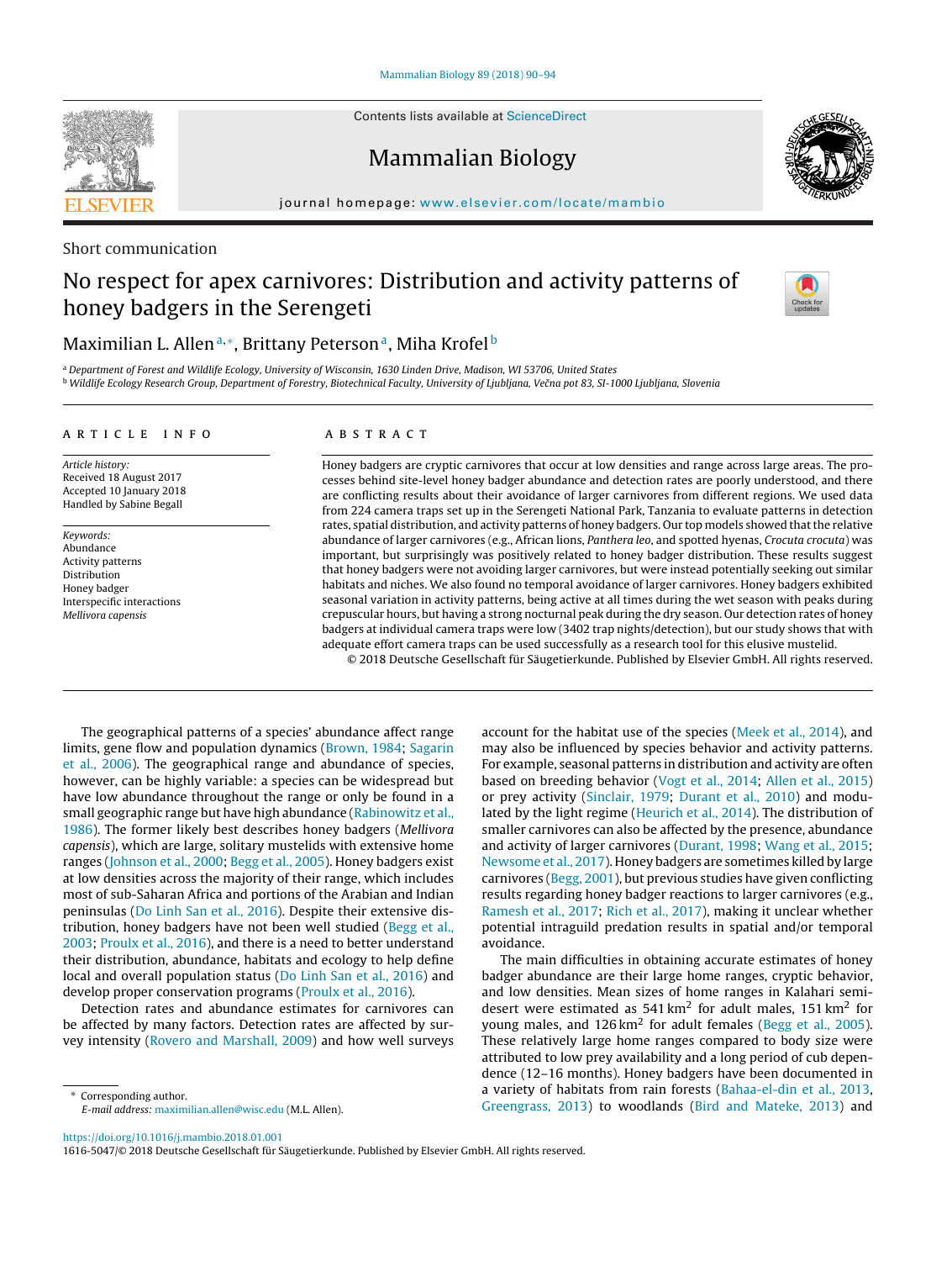Contents lists available at [ScienceDirect](http://www.sciencedirect.com/science/journal/16165047)

# Mammalian Biology

journal homepage: [www.elsevier.com/locate/mambio](http://www.elsevier.com/locate/mambio)

### Short communication

# No respect for apex carnivores: Distribution and activity patterns of honey badgers in the Serengeti



### Maximilian L. Allen<sup>a,\*</sup>, Brittany Peterson<sup>a</sup>, Miha Krofel<sup>b</sup>

<sup>a</sup> Department of Forest and Wildlife Ecology, University of Wisconsin, 1630 Linden Drive, Madison, WI 53706, United States <sup>b</sup> Wildlife Ecology Research Group, Department of Forestry, Biotechnical Faculty, University of Ljubljana, Večna pot 83, SI-1000 Ljubljana, Slovenia

#### a r t i c l e i n f o

Article history: Received 18 August 2017 Accepted 10 January 2018 Handled by Sabine Begall

Keywords: Abundance Activity patterns Distribution Honey badger Interspecific interactions Mellivora capensis

#### A B S T R A C T

Honey badgers are cryptic carnivores that occur at low densities and range across large areas. The processes behind site-level honey badger abundance and detection rates are poorly understood, and there are conflicting results about their avoidance of larger carnivores from different regions. We used data from 224 camera traps set up in the Serengeti National Park, Tanzania to evaluate patterns in detection rates, spatial distribution, and activity patterns of honey badgers. Our top models showed that the relative abundance of larger carnivores (e.g., African lions, Panthera leo, and spotted hyenas, Crocuta crocuta) was important, but surprisingly was positively related to honey badger distribution. These results suggest that honey badgers were not avoiding larger carnivores, but were instead potentially seeking out similar habitats and niches. We also found no temporal avoidance of larger carnivores. Honey badgers exhibited seasonal variation in activity patterns, being active at all times during the wet season with peaks during crepuscular hours, but having a strong nocturnal peak during the dry season. Our detection rates of honey badgers at individual camera traps were low (3402 trap nights/detection), but our study shows that with adequate effort camera traps can be used successfully as a research tool for this elusive mustelid.

© 2018 Deutsche Gesellschaft für Säugetierkunde. Published by Elsevier GmbH. All rights reserved.

The geographical patterns of a species' abundance affect range limits, gene flow and population dynamics [\(Brown,](#page-3-0) [1984;](#page-3-0) [Sagarin](#page-4-0) et [al.,](#page-4-0) [2006\).](#page-4-0) The geographical range and abundance of species, however, can be highly variable: a species can be widespread but have low abundance throughout the range or only be found in a small geographic range but have high abundance [\(Rabinowitz](#page-3-0) et [al.,](#page-3-0) [1986\).](#page-3-0) The former likely best describes honey badgers (Mellivora capensis), which are large, solitary mustelids with extensive home ranges ([Johnson](#page-3-0) et [al.,](#page-3-0) [2000;](#page-3-0) [Begg](#page-3-0) et [al.,](#page-3-0) [2005\).](#page-3-0) Honey badgers exist at low densities across the majority of their range, which includes most of sub-Saharan Africa and portions of the Arabian and Indian peninsulas ([Do](#page-3-0) [Linh](#page-3-0) [San](#page-3-0) et [al.,](#page-3-0) [2016\).](#page-3-0) Despite their extensive distribution, honey badgers have not been well studied [\(Begg](#page-3-0) et [al.,](#page-3-0) [2003;](#page-3-0) [Proulx](#page-3-0) et [al.,](#page-3-0) [2016\),](#page-3-0) and there is a need to better understand their distribution, abundance, habitats and ecology to help define local and overall population status ([Do](#page-3-0) [Linh](#page-3-0) [San](#page-3-0) et [al.,](#page-3-0) [2016\)](#page-3-0) and develop proper conservation programs [\(Proulx](#page-3-0) et [al.,](#page-3-0) [2016\).](#page-3-0)

Detection rates and abundance estimates for carnivores can be affected by many factors. Detection rates are affected by survey intensity ([Rovero](#page-4-0) [and](#page-4-0) [Marshall,](#page-4-0) [2009\)](#page-4-0) and how well surveys

∗ Corresponding author. E-mail address: [maximilian.allen@wisc.edu](mailto:maximilian.allen@wisc.edu) (M.L. Allen). account for the habitat use of the species [\(Meek](#page-3-0) et [al.,](#page-3-0) [2014\),](#page-3-0) and may also be influenced by species behavior and activity patterns. For example, seasonal patterns in distribution and activity are often based on breeding behavior [\(Vogt](#page-4-0) et [al.,](#page-4-0) [2014;](#page-4-0) [Allen](#page-3-0) et [al.,](#page-3-0) [2015\)](#page-3-0) or prey activity ([Sinclair,](#page-4-0) [1979;](#page-4-0) [Durant](#page-3-0) et [al.,](#page-3-0) [2010\)](#page-3-0) and modulated by the light regime ([Heurich](#page-3-0) et [al.,](#page-3-0) [2014\).](#page-3-0) The distribution of smaller carnivores can also be affected by the presence, abundance and activity of larger carnivores [\(Durant,](#page-3-0) [1998;](#page-3-0) [Wang](#page-4-0) et [al.,](#page-4-0) [2015;](#page-4-0) [Newsome](#page-3-0) et [al.,](#page-3-0) [2017\).](#page-3-0) Honey badgers are sometimes killed by large carnivores ([Begg,](#page-3-0) [2001\),](#page-3-0) but previous studies have given conflicting results regarding honey badger reactions to larger carnivores (e.g., [Ramesh](#page-3-0) et [al.,](#page-3-0) [2017;](#page-3-0) [Rich](#page-4-0) et [al.,](#page-4-0) [2017\),](#page-4-0) making it unclear whether potential intraguild predation results in spatial and/or temporal avoidance.

The main difficulties in obtaining accurate estimates of honey badger abundance are their large home ranges, cryptic behavior, and low densities. Mean sizes of home ranges in Kalahari semidesert were estimated as  $541 \text{ km}^2$  for adult males,  $151 \text{ km}^2$  for young males, and  $126 \text{ km}^2$  for adult females [\(Begg](#page-3-0) et [al.,](#page-3-0) [2005\).](#page-3-0) These relatively large home ranges compared to body size were attributed to low prey availability and a long period of cub dependence (12–16 months). Honey badgers have been documented in a variety of habitats from rain forests [\(Bahaa-el-din](#page-3-0) et [al.,](#page-3-0) [2013,](#page-3-0) [Greengrass,](#page-3-0) [2013\)](#page-3-0) to woodlands [\(Bird](#page-3-0) [and](#page-3-0) [Mateke,](#page-3-0) [2013\)](#page-3-0) and

<https://doi.org/10.1016/j.mambio.2018.01.001>

1616-5047/© 2018 Deutsche Gesellschaft für Säugetierkunde. Published by Elsevier GmbH. All rights reserved.

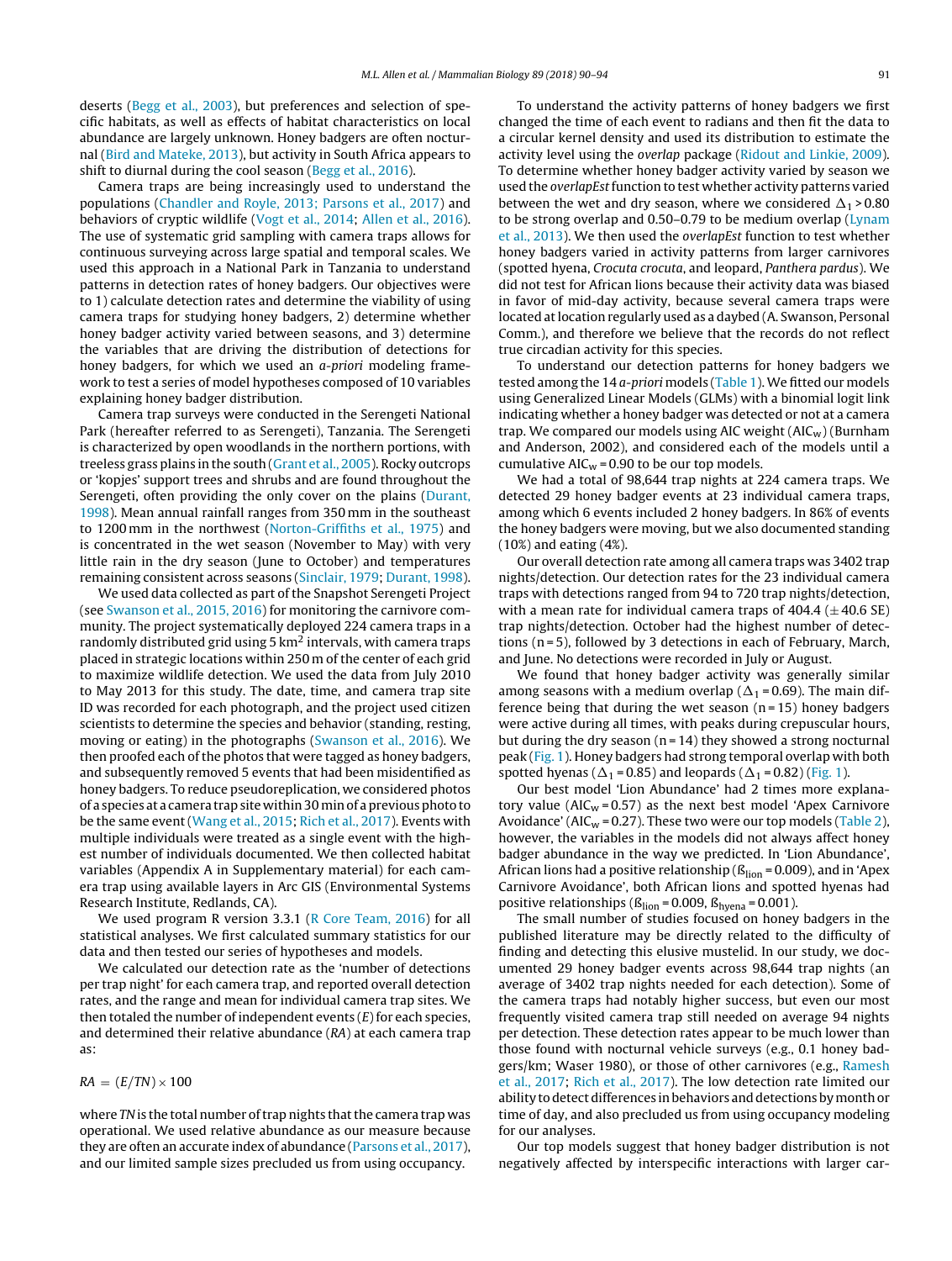deserts [\(Begg](#page-3-0) et [al.,](#page-3-0) [2003\),](#page-3-0) but preferences and selection of specific habitats, as well as effects of habitat characteristics on local abundance are largely unknown. Honey badgers are often nocturnal [\(Bird](#page-3-0) [and](#page-3-0) [Mateke,](#page-3-0) [2013\),](#page-3-0) but activity in South Africa appears to shift to diurnal during the cool season [\(Begg](#page-3-0) et [al.,](#page-3-0) [2016\).](#page-3-0)

Camera traps are being increasingly used to understand the populations ([Chandler](#page-3-0) [and](#page-3-0) [Royle,](#page-3-0) [2013;](#page-3-0) [Parsons](#page-3-0) et [al.,](#page-3-0) [2017\)](#page-3-0) and behaviors of cryptic wildlife [\(Vogt](#page-4-0) et [al.,](#page-4-0) [2014;](#page-4-0) [Allen](#page-3-0) et [al.,](#page-3-0) [2016\).](#page-3-0) The use of systematic grid sampling with camera traps allows for continuous surveying across large spatial and temporal scales. We used this approach in a National Park in Tanzania to understand patterns in detection rates of honey badgers. Our objectives were to 1) calculate detection rates and determine the viability of using camera traps for studying honey badgers, 2) determine whether honey badger activity varied between seasons, and 3) determine the variables that are driving the distribution of detections for honey badgers, for which we used an a-priori modeling framework to test a series of model hypotheses composed of 10 variables explaining honey badger distribution.

Camera trap surveys were conducted in the Serengeti National Park (hereafter referred to as Serengeti), Tanzania. The Serengeti is characterized by open woodlands in the northern portions, with treeless grass plains in the south [\(Grant](#page-3-0) et [al.,](#page-3-0) [2005\).](#page-3-0) Rocky outcrops or 'kopjes' support trees and shrubs and are found throughout the Serengeti, often providing the only cover on the plains ([Durant,](#page-3-0) [1998\).](#page-3-0) Mean annual rainfall ranges from 350 mm in the southeast to 1200 mm in the northwest ([Norton-Griffiths](#page-3-0) et [al.,](#page-3-0) [1975\)](#page-3-0) and is concentrated in the wet season (November to May) with very little rain in the dry season (June to October) and temperatures remaining consistent across seasons ([Sinclair,](#page-4-0) [1979;](#page-4-0) [Durant,](#page-3-0) [1998\).](#page-3-0)

We used data collected as part of the Snapshot Serengeti Project (see [Swanson](#page-4-0) et [al.,](#page-4-0) [2015,](#page-4-0) [2016\)](#page-4-0) for monitoring the carnivore community. The project systematically deployed 224 camera traps in a randomly distributed grid using  $5 \text{ km}^2$  intervals, with camera traps placed in strategic locations within 250 m of the center of each grid to maximize wildlife detection. We used the data from July 2010 to May 2013 for this study. The date, time, and camera trap site ID was recorded for each photograph, and the project used citizen scientists to determine the species and behavior (standing, resting, moving or eating) in the photographs [\(Swanson](#page-4-0) et [al.,](#page-4-0) [2016\).](#page-4-0) We then proofed each of the photos that were tagged as honey badgers, and subsequently removed 5 events that had been misidentified as honey badgers. To reduce pseudoreplication, we considered photos of a species at a camera trapsite within30 minof apreviousphoto to be the same event [\(Wang](#page-4-0) et [al.,](#page-4-0) [2015;](#page-4-0) [Rich](#page-4-0) et [al.,](#page-4-0) [2017\).](#page-4-0) Events with multiple individuals were treated as a single event with the highest number of individuals documented. We then collected habitat variables (Appendix A in Supplementary material) for each camera trap using available layers in Arc GIS (Environmental Systems Research Institute, Redlands, CA).

We used program R version 3.3.1 [\(R](#page-3-0) [Core](#page-3-0) [Team,](#page-3-0) [2016\)](#page-3-0) for all statistical analyses. We first calculated summary statistics for our data and then tested our series of hypotheses and models.

We calculated our detection rate as the 'number of detections per trap night' for each camera trap, and reported overall detection rates, and the range and mean for individual camera trap sites. We then totaled the number of independent events  $(E)$  for each species, and determined their relative abundance (RA) at each camera trap as:

 $RA = (E/TN) \times 100$ 

where TN is the total number of trap nights that the camera trap was operational. We used relative abundance as our measure because they are often an accurate index of abundance [\(Parsons](#page-3-0) et [al.,](#page-3-0) [2017\),](#page-3-0) and our limited sample sizes precluded us from using occupancy.

To understand the activity patterns of honey badgers we first changed the time of each event to radians and then fit the data to a circular kernel density and used its distribution to estimate the activity level using the overlap package ([Ridout](#page-4-0) [and](#page-4-0) [Linkie,](#page-4-0) [2009\).](#page-4-0) To determine whether honey badger activity varied by season we used the overlapEst function to test whether activity patterns varied between the wet and dry season, where we considered  $\Delta_1$  > 0.80 to be strong overlap and 0.50–0.79 to be medium overlap [\(Lynam](#page-3-0) et [al.,](#page-3-0) [2013\).](#page-3-0) We then used the overlapEst function to test whether honey badgers varied in activity patterns from larger carnivores (spotted hyena, Crocuta crocuta, and leopard, Panthera pardus). We did not test for African lions because their activity data was biased in favor of mid-day activity, because several camera traps were located at location regularly used as a daybed (A. Swanson, Personal Comm.), and therefore we believe that the records do not reflect true circadian activity for this species.

To understand our detection patterns for honey badgers we tested among the 14 *a-priori* models ([Table](#page-2-0) 1). We fitted our models using Generalized Linear Models (GLMs) with a binomial logit link indicating whether a honey badger was detected or not at a camera trap. We compared our models using AIC weight  $(AIC_w)$  (Burnham and Anderson, 2002), and considered each of the models until a cumulative  $AIC_w = 0.90$  to be our top models.

We had a total of 98,644 trap nights at 224 camera traps. We detected 29 honey badger events at 23 individual camera traps, among which 6 events included 2 honey badgers. In 86% of events the honey badgers were moving, but we also documented standing (10%) and eating (4%).

Our overall detection rate among all camera traps was 3402 trap nights/detection. Our detection rates for the 23 individual camera traps with detections ranged from 94 to 720 trap nights/detection, with a mean rate for individual camera traps of  $404.4 (\pm 40.6 \text{ SE})$ trap nights/detection. October had the highest number of detections (n = 5), followed by 3 detections in each of February, March, and June. No detections were recorded in July or August.

We found that honey badger activity was generally similar among seasons with a medium overlap ( $\Delta_1$  = 0.69). The main difference being that during the wet season  $(n = 15)$  honey badgers were active during all times, with peaks during crepuscular hours, but during the dry season  $(n = 14)$  they showed a strong nocturnal peak ([Fig.](#page-3-0) 1). Honey badgers had strong temporal overlap with both spotted hyenas ( $\Delta_1$  = 0.85) and leopards ( $\Delta_1$  = 0.82) [\(Fig.](#page-3-0) 1).

Our best model 'Lion Abundance' had 2 times more explanatory value ( $AIC_w = 0.57$ ) as the next best model 'Apex Carnivore Avoidance' (AIC<sub>w</sub> = 0.27). These two were our top models ([Table](#page-2-0) 2), however, the variables in the models did not always affect honey badger abundance in the way we predicted. In 'Lion Abundance', African lions had a positive relationship ( $\beta_{\text{lion}}$  = 0.009), and in 'Apex Carnivore Avoidance', both African lions and spotted hyenas had positive relationships ( $\beta_{\text{lion}}$  = 0.009,  $\beta_{\text{hyena}}$  = 0.001).

The small number of studies focused on honey badgers in the published literature may be directly related to the difficulty of finding and detecting this elusive mustelid. In our study, we documented 29 honey badger events across 98,644 trap nights (an average of 3402 trap nights needed for each detection). Some of the camera traps had notably higher success, but even our most frequently visited camera trap still needed on average 94 nights per detection. These detection rates appear to be much lower than those found with nocturnal vehicle surveys (e.g., 0.1 honey badgers/km; Waser 1980), or those of other carnivores (e.g., [Ramesh](#page-3-0) et [al.,](#page-3-0) [2017;](#page-3-0) [Rich](#page-4-0) et [al.,](#page-4-0) [2017\).](#page-4-0) The low detection rate limited our ability to detect differences in behaviors and detections by month or time of day, and also precluded us from using occupancy modeling for our analyses.

Our top models suggest that honey badger distribution is not negatively affected by interspecific interactions with larger car-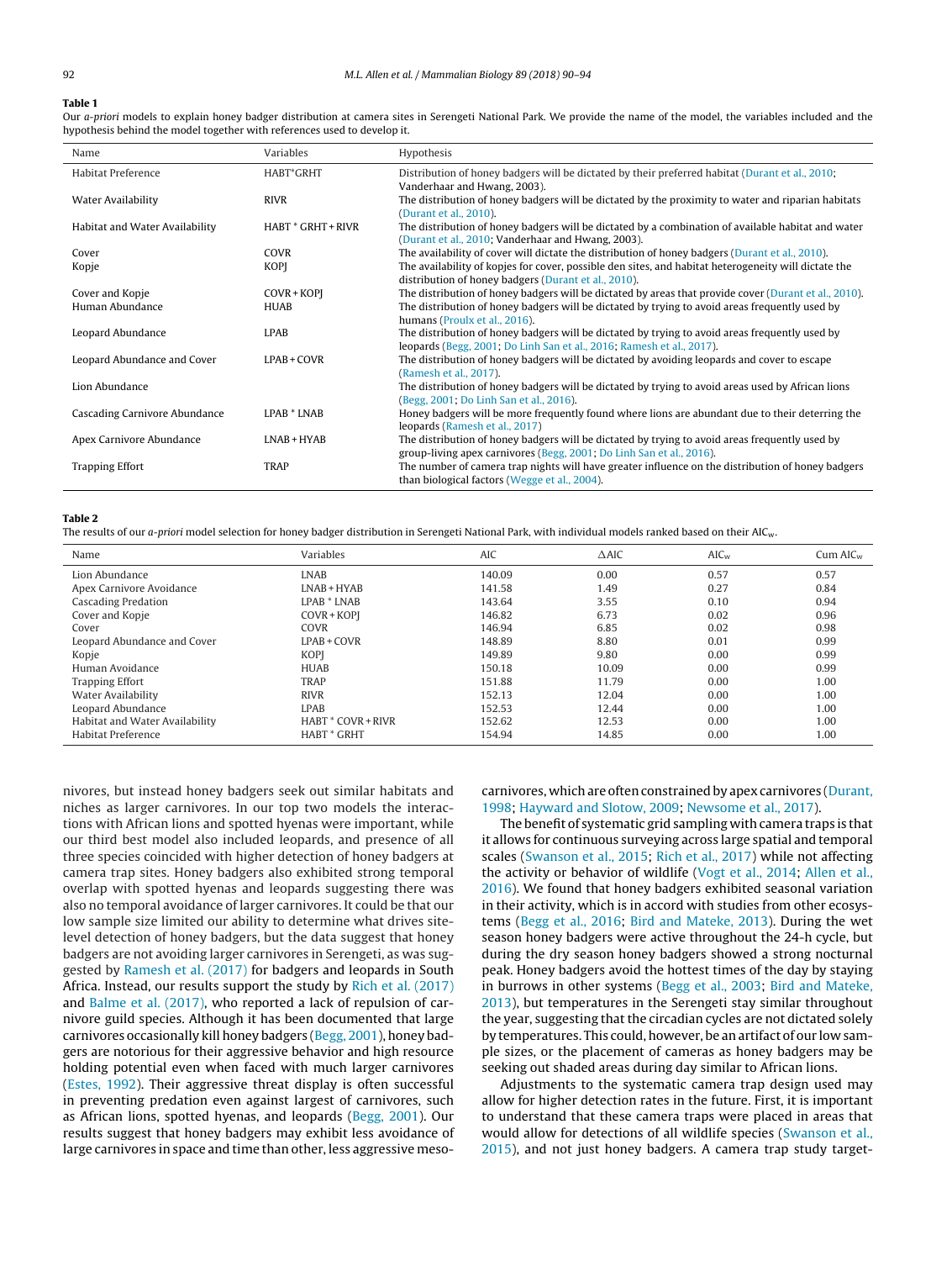#### <span id="page-2-0"></span>**Table 1**

Our a-priori models to explain honey badger distribution at camera sites in Serengeti National Park. We provide the name of the model, the variables included and the hypothesis behind the model together with references used to develop it.

| Name                           | Variables            | Hypothesis                                                                                                                                                              |
|--------------------------------|----------------------|-------------------------------------------------------------------------------------------------------------------------------------------------------------------------|
| Habitat Preference             | HABT*GRHT            | Distribution of honey badgers will be dictated by their preferred habitat (Durant et al., 2010;<br>Vanderhaar and Hwang, 2003).                                         |
| Water Availability             | <b>RIVR</b>          | The distribution of honey badgers will be dictated by the proximity to water and riparian habitats<br>(Durant et al., 2010).                                            |
| Habitat and Water Availability | $HART * GRHT + RIVR$ | The distribution of honey badgers will be dictated by a combination of available habitat and water<br>(Durant et al., 2010; Vanderhaar and Hwang, 2003).                |
| Cover                          | COVR                 | The availability of cover will dictate the distribution of honey badgers (Durant et al., 2010).                                                                         |
| Kopje                          | <b>KOPI</b>          | The availability of kopjes for cover, possible den sites, and habitat heterogeneity will dictate the<br>distribution of honey badgers (Durant et al., 2010).            |
| Cover and Kopje                | COVR+KOPI            | The distribution of honey badgers will be dictated by areas that provide cover (Durant et al., 2010).                                                                   |
| Human Abundance                | HUAB                 | The distribution of honey badgers will be dictated by trying to avoid areas frequently used by<br>humans (Proulx et al., 2016).                                         |
| Leopard Abundance              | <b>LPAB</b>          | The distribution of honey badgers will be dictated by trying to avoid areas frequently used by<br>leopards (Begg, 2001; Do Linh San et al., 2016; Ramesh et al., 2017). |
| Leopard Abundance and Cover    | $LPAB + CONR$        | The distribution of honey badgers will be dictated by avoiding leopards and cover to escape<br>(Ramesh et al., 2017).                                                   |
| Lion Abundance                 |                      | The distribution of honey badgers will be dictated by trying to avoid areas used by African lions<br>(Begg, 2001; Do Linh San et al., 2016).                            |
| Cascading Carnivore Abundance  | LPAB * LNAB          | Honey badgers will be more frequently found where lions are abundant due to their deterring the<br>leopards (Ramesh et al., 2017)                                       |
| Apex Carnivore Abundance       | $I.NAB + HYAB$       | The distribution of honey badgers will be dictated by trying to avoid areas frequently used by<br>group-living apex carnivores (Begg, 2001; Do Linh San et al., 2016).  |
| <b>Trapping Effort</b>         | <b>TRAP</b>          | The number of camera trap nights will have greater influence on the distribution of honey badgers<br>than biological factors (Wegge et al., 2004).                      |

#### **Table 2**

The results of our a-priori model selection for honey badger distribution in Serengeti National Park, with individual models ranked based on their AIC<sub>W</sub>.

| Name                           | Variables                 | <b>AIC</b> | $\triangle$ AIC | $AIC_w$ | $Cum$ AI $C_w$ |
|--------------------------------|---------------------------|------------|-----------------|---------|----------------|
| Lion Abundance                 | <b>LNAB</b>               | 140.09     | 0.00            | 0.57    | 0.57           |
| Apex Carnivore Avoidance       | $LNAB + HYAB$             | 141.58     | 1.49            | 0.27    | 0.84           |
| <b>Cascading Predation</b>     | LPAB * LNAB               | 143.64     | 3.55            | 0.10    | 0.94           |
| Cover and Kopje                | COVR+KOPI                 | 146.82     | 6.73            | 0.02    | 0.96           |
| Cover                          | COVR                      | 146.94     | 6.85            | 0.02    | 0.98           |
| Leopard Abundance and Cover    | $LPAB + CONR$             | 148.89     | 8.80            | 0.01    | 0.99           |
| Kopje                          | <b>KOPI</b>               | 149.89     | 9.80            | 0.00    | 0.99           |
| Human Avoidance                | <b>HUAB</b>               | 150.18     | 10.09           | 0.00    | 0.99           |
| <b>Trapping Effort</b>         | <b>TRAP</b>               | 151.88     | 11.79           | 0.00    | 1.00           |
| Water Availability             | <b>RIVR</b>               | 152.13     | 12.04           | 0.00    | 1.00           |
| Leopard Abundance              | <b>LPAB</b>               | 152.53     | 12.44           | 0.00    | 1.00           |
| Habitat and Water Availability | <b>HABT * COVR + RIVR</b> | 152.62     | 12.53           | 0.00    | 1.00           |
| Habitat Preference             | <b>HABT</b> * GRHT        | 154.94     | 14.85           | 0.00    | 1.00           |

nivores, but instead honey badgers seek out similar habitats and niches as larger carnivores. In our top two models the interactions with African lions and spotted hyenas were important, while our third best model also included leopards, and presence of all three species coincided with higher detection of honey badgers at camera trap sites. Honey badgers also exhibited strong temporal overlap with spotted hyenas and leopards suggesting there was also no temporal avoidance of larger carnivores. It could be that our low sample size limited our ability to determine what drives sitelevel detection of honey badgers, but the data suggest that honey badgers are not avoiding larger carnivores in Serengeti, as was suggested by [Ramesh](#page-3-0) et [al.](#page-3-0) [\(2017\)](#page-3-0) for badgers and leopards in South Africa. Instead, our results support the study by [Rich](#page-4-0) et [al.](#page-4-0) [\(2017\)](#page-4-0) and [Balme](#page-3-0) et [al.](#page-3-0) [\(2017\),](#page-3-0) who reported a lack of repulsion of carnivore guild species. Although it has been documented that large carnivores occasionally kill honey badgers ([Begg,](#page-3-0) [2001\),](#page-3-0) honey badgers are notorious for their aggressive behavior and high resource holding potential even when faced with much larger carnivores ([Estes,](#page-3-0) [1992\).](#page-3-0) Their aggressive threat display is often successful in preventing predation even against largest of carnivores, such as African lions, spotted hyenas, and leopards [\(Begg,](#page-3-0) [2001\).](#page-3-0) Our results suggest that honey badgers may exhibit less avoidance of large carnivores in space and time than other, less aggressive mesocarnivores, which are often constrained by apex carnivores [\(Durant,](#page-3-0) [1998;](#page-3-0) [Hayward](#page-3-0) [and](#page-3-0) [Slotow,](#page-3-0) [2009;](#page-3-0) [Newsome](#page-3-0) et [al.,](#page-3-0) [2017\).](#page-3-0)

The benefit of systematic grid sampling with camera traps is that it allows for continuous surveying across large spatial and temporal scales [\(Swanson](#page-4-0) et [al.,](#page-4-0) [2015;](#page-4-0) [Rich](#page-4-0) et [al.,](#page-4-0) [2017\)](#page-4-0) while not affecting the activity or behavior of wildlife [\(Vogt](#page-4-0) et [al.,](#page-4-0) [2014;](#page-4-0) [Allen](#page-3-0) et [al.,](#page-3-0) [2016\).](#page-3-0) We found that honey badgers exhibited seasonal variation in their activity, which is in accord with studies from other ecosystems [\(Begg](#page-3-0) et [al.,](#page-3-0) [2016;](#page-3-0) [Bird](#page-3-0) [and](#page-3-0) [Mateke,](#page-3-0) [2013\).](#page-3-0) During the wet season honey badgers were active throughout the 24-h cycle, but during the dry season honey badgers showed a strong nocturnal peak. Honey badgers avoid the hottest times of the day by staying in burrows in other systems [\(Begg](#page-3-0) et [al.,](#page-3-0) [2003;](#page-3-0) [Bird](#page-3-0) [and](#page-3-0) [Mateke,](#page-3-0) [2013\),](#page-3-0) but temperatures in the Serengeti stay similar throughout the year, suggesting that the circadian cycles are not dictated solely by temperatures. This could, however, be an artifact of our low sample sizes, or the placement of cameras as honey badgers may be seeking out shaded areas during day similar to African lions.

Adjustments to the systematic camera trap design used may allow for higher detection rates in the future. First, it is important to understand that these camera traps were placed in areas that would allow for detections of all wildlife species [\(Swanson](#page-4-0) et [al.,](#page-4-0) [2015\),](#page-4-0) and not just honey badgers. A camera trap study target-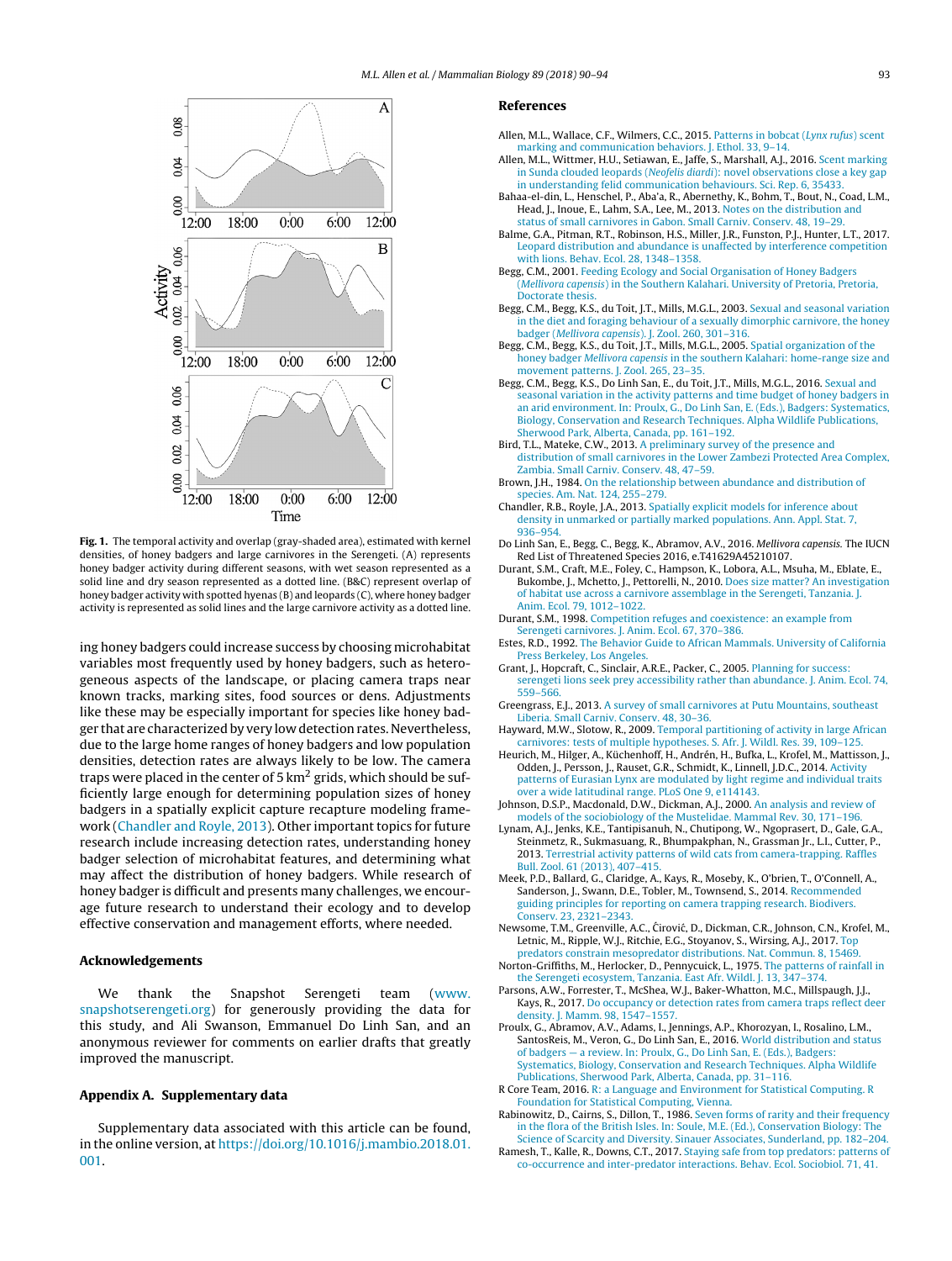<span id="page-3-0"></span>

**Fig. 1.** The temporal activity and overlap (gray-shaded area), estimated with kernel densities, of honey badgers and large carnivores in the Serengeti. (A) represents honey badger activity during different seasons, with wet season represented as a solid line and dry season represented as a dotted line. (B&C) represent overlap of honey badger activity with spotted hyenas (B) and leopards (C), where honey badger activity is represented as solid lines and the large carnivore activity as a dotted line.

ing honey badgers could increase success by choosing microhabitat variables most frequently used by honey badgers, such as heterogeneous aspects of the landscape, or placing camera traps near known tracks, marking sites, food sources or dens. Adjustments like these may be especially important for species like honey badger that are characterized by very low detection rates. Nevertheless, due to the large home ranges of honey badgers and low population densities, detection rates are always likely to be low. The camera traps were placed in the center of 5  $km<sup>2</sup>$  grids, which should be sufficiently large enough for determining population sizes of honey badgers in a spatially explicit capture recapture modeling framework (Chandler and Royle, 2013). Other important topics for future research include increasing detection rates, understanding honey badger selection of microhabitat features, and determining what may affect the distribution of honey badgers. While research of honey badger is difficult and presents many challenges, we encourage future research to understand their ecology and to develop effective conservation and management efforts, where needed.

#### **Acknowledgements**

We thank the Snapshot Serengeti team ([www.](http://www.snapshotserengeti.org) [snapshotserengeti.org](http://www.snapshotserengeti.org)) for generously providing the data for this study, and Ali Swanson, Emmanuel Do Linh San, and an anonymous reviewer for comments on earlier drafts that greatly improved the manuscript.

#### **Appendix A. Supplementary data**

Supplementary data associated with this article can be found, in the online version, at [https://doi.org/10.1016/j.mambio.2018.01.](https://doi.org/10.1016/j.mambio.2018.01.001) [001](https://doi.org/10.1016/j.mambio.2018.01.001).

#### **References**

- Allen, M.L., Wallace, C.F., Wilmers, C.C., 2015. [Patterns](http://refhub.elsevier.com/S1616-5047(17)30272-0/sbref0005) [in](http://refhub.elsevier.com/S1616-5047(17)30272-0/sbref0005) [bobcat](http://refhub.elsevier.com/S1616-5047(17)30272-0/sbref0005) [\(](http://refhub.elsevier.com/S1616-5047(17)30272-0/sbref0005)[Lynx](http://refhub.elsevier.com/S1616-5047(17)30272-0/sbref0005) [rufus](http://refhub.elsevier.com/S1616-5047(17)30272-0/sbref0005)[\)](http://refhub.elsevier.com/S1616-5047(17)30272-0/sbref0005) [scent](http://refhub.elsevier.com/S1616-5047(17)30272-0/sbref0005) [marking](http://refhub.elsevier.com/S1616-5047(17)30272-0/sbref0005) [and](http://refhub.elsevier.com/S1616-5047(17)30272-0/sbref0005) [communication](http://refhub.elsevier.com/S1616-5047(17)30272-0/sbref0005) [behaviors.](http://refhub.elsevier.com/S1616-5047(17)30272-0/sbref0005) [J.](http://refhub.elsevier.com/S1616-5047(17)30272-0/sbref0005) [Ethol.](http://refhub.elsevier.com/S1616-5047(17)30272-0/sbref0005) [33,](http://refhub.elsevier.com/S1616-5047(17)30272-0/sbref0005) [9–14.](http://refhub.elsevier.com/S1616-5047(17)30272-0/sbref0005)
- Allen, M.L., Wittmer, H.U., Setiawan, E., Jaffe, S., Marshall, A.J., 2016. [Scent](http://refhub.elsevier.com/S1616-5047(17)30272-0/sbref0010) [marking](http://refhub.elsevier.com/S1616-5047(17)30272-0/sbref0010) [in](http://refhub.elsevier.com/S1616-5047(17)30272-0/sbref0010) [Sunda](http://refhub.elsevier.com/S1616-5047(17)30272-0/sbref0010) [clouded](http://refhub.elsevier.com/S1616-5047(17)30272-0/sbref0010) [leopards](http://refhub.elsevier.com/S1616-5047(17)30272-0/sbref0010) [\(](http://refhub.elsevier.com/S1616-5047(17)30272-0/sbref0010)[Neofelis](http://refhub.elsevier.com/S1616-5047(17)30272-0/sbref0010) [diardi](http://refhub.elsevier.com/S1616-5047(17)30272-0/sbref0010)[\):](http://refhub.elsevier.com/S1616-5047(17)30272-0/sbref0010) [novel](http://refhub.elsevier.com/S1616-5047(17)30272-0/sbref0010) [observations](http://refhub.elsevier.com/S1616-5047(17)30272-0/sbref0010) [close](http://refhub.elsevier.com/S1616-5047(17)30272-0/sbref0010) [a](http://refhub.elsevier.com/S1616-5047(17)30272-0/sbref0010) [key](http://refhub.elsevier.com/S1616-5047(17)30272-0/sbref0010) [gap](http://refhub.elsevier.com/S1616-5047(17)30272-0/sbref0010) [in](http://refhub.elsevier.com/S1616-5047(17)30272-0/sbref0010) [understanding](http://refhub.elsevier.com/S1616-5047(17)30272-0/sbref0010) [felid](http://refhub.elsevier.com/S1616-5047(17)30272-0/sbref0010) [communication](http://refhub.elsevier.com/S1616-5047(17)30272-0/sbref0010) [behaviours.](http://refhub.elsevier.com/S1616-5047(17)30272-0/sbref0010) [Sci.](http://refhub.elsevier.com/S1616-5047(17)30272-0/sbref0010) [Rep.](http://refhub.elsevier.com/S1616-5047(17)30272-0/sbref0010) [6,](http://refhub.elsevier.com/S1616-5047(17)30272-0/sbref0010) [35433.](http://refhub.elsevier.com/S1616-5047(17)30272-0/sbref0010)
- Bahaa-el-din, L., Henschel, P., Aba'a, R., Abernethy, K., Bohm, T., Bout, N., Coad, L.M., Head, J., Inoue, E., Lahm, S.A., Lee, M., 2013. [Notes](http://refhub.elsevier.com/S1616-5047(17)30272-0/sbref0015) [on](http://refhub.elsevier.com/S1616-5047(17)30272-0/sbref0015) [the](http://refhub.elsevier.com/S1616-5047(17)30272-0/sbref0015) [distribution](http://refhub.elsevier.com/S1616-5047(17)30272-0/sbref0015) [and](http://refhub.elsevier.com/S1616-5047(17)30272-0/sbref0015) [status](http://refhub.elsevier.com/S1616-5047(17)30272-0/sbref0015) [of](http://refhub.elsevier.com/S1616-5047(17)30272-0/sbref0015) [small](http://refhub.elsevier.com/S1616-5047(17)30272-0/sbref0015) [carnivores](http://refhub.elsevier.com/S1616-5047(17)30272-0/sbref0015) [in](http://refhub.elsevier.com/S1616-5047(17)30272-0/sbref0015) [Gabon.](http://refhub.elsevier.com/S1616-5047(17)30272-0/sbref0015) [Small](http://refhub.elsevier.com/S1616-5047(17)30272-0/sbref0015) [Carniv.](http://refhub.elsevier.com/S1616-5047(17)30272-0/sbref0015) [Conserv.](http://refhub.elsevier.com/S1616-5047(17)30272-0/sbref0015) [48,](http://refhub.elsevier.com/S1616-5047(17)30272-0/sbref0015) [19–29.](http://refhub.elsevier.com/S1616-5047(17)30272-0/sbref0015)
- Balme, G.A., Pitman, R.T., Robinson, H.S., Miller, J.R., Funston, P.J., Hunter, L.T., 2017. [Leopard](http://refhub.elsevier.com/S1616-5047(17)30272-0/sbref0020) [distribution](http://refhub.elsevier.com/S1616-5047(17)30272-0/sbref0020) [and](http://refhub.elsevier.com/S1616-5047(17)30272-0/sbref0020) [abundance](http://refhub.elsevier.com/S1616-5047(17)30272-0/sbref0020) [is](http://refhub.elsevier.com/S1616-5047(17)30272-0/sbref0020) [unaffected](http://refhub.elsevier.com/S1616-5047(17)30272-0/sbref0020) [by](http://refhub.elsevier.com/S1616-5047(17)30272-0/sbref0020) [interference](http://refhub.elsevier.com/S1616-5047(17)30272-0/sbref0020) [competition](http://refhub.elsevier.com/S1616-5047(17)30272-0/sbref0020) [with](http://refhub.elsevier.com/S1616-5047(17)30272-0/sbref0020) [lions.](http://refhub.elsevier.com/S1616-5047(17)30272-0/sbref0020) [Behav.](http://refhub.elsevier.com/S1616-5047(17)30272-0/sbref0020) [Ecol.](http://refhub.elsevier.com/S1616-5047(17)30272-0/sbref0020) [28,](http://refhub.elsevier.com/S1616-5047(17)30272-0/sbref0020) [1348](http://refhub.elsevier.com/S1616-5047(17)30272-0/sbref0020)–[1358.](http://refhub.elsevier.com/S1616-5047(17)30272-0/sbref0020)
- Begg, C.M., 2001. [Feeding](http://refhub.elsevier.com/S1616-5047(17)30272-0/sbref0025) [Ecology](http://refhub.elsevier.com/S1616-5047(17)30272-0/sbref0025) [and](http://refhub.elsevier.com/S1616-5047(17)30272-0/sbref0025) [Social](http://refhub.elsevier.com/S1616-5047(17)30272-0/sbref0025) [Organisation](http://refhub.elsevier.com/S1616-5047(17)30272-0/sbref0025) [of](http://refhub.elsevier.com/S1616-5047(17)30272-0/sbref0025) [Honey](http://refhub.elsevier.com/S1616-5047(17)30272-0/sbref0025) [Badgers](http://refhub.elsevier.com/S1616-5047(17)30272-0/sbref0025) [Mellivora](http://refhub.elsevier.com/S1616-5047(17)30272-0/sbref0025) [capensis](http://refhub.elsevier.com/S1616-5047(17)30272-0/sbref0025)[\)](http://refhub.elsevier.com/S1616-5047(17)30272-0/sbref0025) [in](http://refhub.elsevier.com/S1616-5047(17)30272-0/sbref0025) [the](http://refhub.elsevier.com/S1616-5047(17)30272-0/sbref0025) [Southern](http://refhub.elsevier.com/S1616-5047(17)30272-0/sbref0025) [Kalahari.](http://refhub.elsevier.com/S1616-5047(17)30272-0/sbref0025) [University](http://refhub.elsevier.com/S1616-5047(17)30272-0/sbref0025) [of](http://refhub.elsevier.com/S1616-5047(17)30272-0/sbref0025) [Pretoria,](http://refhub.elsevier.com/S1616-5047(17)30272-0/sbref0025) Pretoria, [Doctorate](http://refhub.elsevier.com/S1616-5047(17)30272-0/sbref0025) [thesis.](http://refhub.elsevier.com/S1616-5047(17)30272-0/sbref0025)
- Begg, C.M., Begg, K.S., du Toit, J.T., Mills, M.G.L., 2003. [Sexual](http://refhub.elsevier.com/S1616-5047(17)30272-0/sbref0030) [and](http://refhub.elsevier.com/S1616-5047(17)30272-0/sbref0030) [seasonal](http://refhub.elsevier.com/S1616-5047(17)30272-0/sbref0030) [variation](http://refhub.elsevier.com/S1616-5047(17)30272-0/sbref0030) [in](http://refhub.elsevier.com/S1616-5047(17)30272-0/sbref0030) [the](http://refhub.elsevier.com/S1616-5047(17)30272-0/sbref0030) [diet](http://refhub.elsevier.com/S1616-5047(17)30272-0/sbref0030) [and](http://refhub.elsevier.com/S1616-5047(17)30272-0/sbref0030) [foraging](http://refhub.elsevier.com/S1616-5047(17)30272-0/sbref0030) [behaviour](http://refhub.elsevier.com/S1616-5047(17)30272-0/sbref0030) [of](http://refhub.elsevier.com/S1616-5047(17)30272-0/sbref0030) [a](http://refhub.elsevier.com/S1616-5047(17)30272-0/sbref0030) [sexually](http://refhub.elsevier.com/S1616-5047(17)30272-0/sbref0030) [dimorphic](http://refhub.elsevier.com/S1616-5047(17)30272-0/sbref0030) [carnivore,](http://refhub.elsevier.com/S1616-5047(17)30272-0/sbref0030) [the](http://refhub.elsevier.com/S1616-5047(17)30272-0/sbref0030) [honey](http://refhub.elsevier.com/S1616-5047(17)30272-0/sbref0030) [badger](http://refhub.elsevier.com/S1616-5047(17)30272-0/sbref0030) [\(](http://refhub.elsevier.com/S1616-5047(17)30272-0/sbref0030)[Mellivora](http://refhub.elsevier.com/S1616-5047(17)30272-0/sbref0030) [capensis](http://refhub.elsevier.com/S1616-5047(17)30272-0/sbref0030)[\).](http://refhub.elsevier.com/S1616-5047(17)30272-0/sbref0030) [J.](http://refhub.elsevier.com/S1616-5047(17)30272-0/sbref0030) [Zool.](http://refhub.elsevier.com/S1616-5047(17)30272-0/sbref0030) [260,](http://refhub.elsevier.com/S1616-5047(17)30272-0/sbref0030) [301](http://refhub.elsevier.com/S1616-5047(17)30272-0/sbref0030)–[316.](http://refhub.elsevier.com/S1616-5047(17)30272-0/sbref0030)
- Begg, C.M., Begg, K.S., du Toit, J.T., Mills, M.G.L., 2005. [Spatial](http://refhub.elsevier.com/S1616-5047(17)30272-0/sbref0035) [organization](http://refhub.elsevier.com/S1616-5047(17)30272-0/sbref0035) [of](http://refhub.elsevier.com/S1616-5047(17)30272-0/sbref0035) [the](http://refhub.elsevier.com/S1616-5047(17)30272-0/sbref0035) [honey](http://refhub.elsevier.com/S1616-5047(17)30272-0/sbref0035) [badger](http://refhub.elsevier.com/S1616-5047(17)30272-0/sbref0035) [Mellivora](http://refhub.elsevier.com/S1616-5047(17)30272-0/sbref0035) [capensis](http://refhub.elsevier.com/S1616-5047(17)30272-0/sbref0035) [in](http://refhub.elsevier.com/S1616-5047(17)30272-0/sbref0035) [the](http://refhub.elsevier.com/S1616-5047(17)30272-0/sbref0035) [southern](http://refhub.elsevier.com/S1616-5047(17)30272-0/sbref0035) [Kalahari:](http://refhub.elsevier.com/S1616-5047(17)30272-0/sbref0035) [home-range](http://refhub.elsevier.com/S1616-5047(17)30272-0/sbref0035) [size](http://refhub.elsevier.com/S1616-5047(17)30272-0/sbref0035) [and](http://refhub.elsevier.com/S1616-5047(17)30272-0/sbref0035) [movement](http://refhub.elsevier.com/S1616-5047(17)30272-0/sbref0035) [patterns.](http://refhub.elsevier.com/S1616-5047(17)30272-0/sbref0035) [J.](http://refhub.elsevier.com/S1616-5047(17)30272-0/sbref0035) [Zool.](http://refhub.elsevier.com/S1616-5047(17)30272-0/sbref0035) [265,](http://refhub.elsevier.com/S1616-5047(17)30272-0/sbref0035) [23](http://refhub.elsevier.com/S1616-5047(17)30272-0/sbref0035)–[35.](http://refhub.elsevier.com/S1616-5047(17)30272-0/sbref0035)
- Begg, C.M., Begg, K.S., Do Linh San, E., du Toit, J.T., Mills, M.G.L., 2016. [Sexual](http://refhub.elsevier.com/S1616-5047(17)30272-0/sbref0040) [and](http://refhub.elsevier.com/S1616-5047(17)30272-0/sbref0040) [seasonal](http://refhub.elsevier.com/S1616-5047(17)30272-0/sbref0040) [variation](http://refhub.elsevier.com/S1616-5047(17)30272-0/sbref0040) [in](http://refhub.elsevier.com/S1616-5047(17)30272-0/sbref0040) [the](http://refhub.elsevier.com/S1616-5047(17)30272-0/sbref0040) [activity](http://refhub.elsevier.com/S1616-5047(17)30272-0/sbref0040) [patterns](http://refhub.elsevier.com/S1616-5047(17)30272-0/sbref0040) [and](http://refhub.elsevier.com/S1616-5047(17)30272-0/sbref0040) [time](http://refhub.elsevier.com/S1616-5047(17)30272-0/sbref0040) [budget](http://refhub.elsevier.com/S1616-5047(17)30272-0/sbref0040) [of](http://refhub.elsevier.com/S1616-5047(17)30272-0/sbref0040) [honey](http://refhub.elsevier.com/S1616-5047(17)30272-0/sbref0040) [badgers](http://refhub.elsevier.com/S1616-5047(17)30272-0/sbref0040) [in](http://refhub.elsevier.com/S1616-5047(17)30272-0/sbref0040) [an](http://refhub.elsevier.com/S1616-5047(17)30272-0/sbref0040) [arid](http://refhub.elsevier.com/S1616-5047(17)30272-0/sbref0040) [environment.](http://refhub.elsevier.com/S1616-5047(17)30272-0/sbref0040) [In:](http://refhub.elsevier.com/S1616-5047(17)30272-0/sbref0040) [Proulx,](http://refhub.elsevier.com/S1616-5047(17)30272-0/sbref0040) [G.,](http://refhub.elsevier.com/S1616-5047(17)30272-0/sbref0040) [Do](http://refhub.elsevier.com/S1616-5047(17)30272-0/sbref0040) [Linh](http://refhub.elsevier.com/S1616-5047(17)30272-0/sbref0040) [San,](http://refhub.elsevier.com/S1616-5047(17)30272-0/sbref0040) [E.](http://refhub.elsevier.com/S1616-5047(17)30272-0/sbref0040) [\(Eds.\),](http://refhub.elsevier.com/S1616-5047(17)30272-0/sbref0040) [Badgers:](http://refhub.elsevier.com/S1616-5047(17)30272-0/sbref0040) [Systematics,](http://refhub.elsevier.com/S1616-5047(17)30272-0/sbref0040) [Biology,](http://refhub.elsevier.com/S1616-5047(17)30272-0/sbref0040) [Conservation](http://refhub.elsevier.com/S1616-5047(17)30272-0/sbref0040) [and](http://refhub.elsevier.com/S1616-5047(17)30272-0/sbref0040) [Research](http://refhub.elsevier.com/S1616-5047(17)30272-0/sbref0040) [Techniques.](http://refhub.elsevier.com/S1616-5047(17)30272-0/sbref0040) [Alpha](http://refhub.elsevier.com/S1616-5047(17)30272-0/sbref0040) [Wildlife](http://refhub.elsevier.com/S1616-5047(17)30272-0/sbref0040) [Publications,](http://refhub.elsevier.com/S1616-5047(17)30272-0/sbref0040) [Sherwood](http://refhub.elsevier.com/S1616-5047(17)30272-0/sbref0040) [Park,](http://refhub.elsevier.com/S1616-5047(17)30272-0/sbref0040) [Alberta,](http://refhub.elsevier.com/S1616-5047(17)30272-0/sbref0040) [Canada,](http://refhub.elsevier.com/S1616-5047(17)30272-0/sbref0040) [pp.](http://refhub.elsevier.com/S1616-5047(17)30272-0/sbref0040) [161–192.](http://refhub.elsevier.com/S1616-5047(17)30272-0/sbref0040)
- Bird, T.L., Mateke, C.W., 2013. [A](http://refhub.elsevier.com/S1616-5047(17)30272-0/sbref0045) [preliminary](http://refhub.elsevier.com/S1616-5047(17)30272-0/sbref0045) [survey](http://refhub.elsevier.com/S1616-5047(17)30272-0/sbref0045) [of](http://refhub.elsevier.com/S1616-5047(17)30272-0/sbref0045) [the](http://refhub.elsevier.com/S1616-5047(17)30272-0/sbref0045) [presence](http://refhub.elsevier.com/S1616-5047(17)30272-0/sbref0045) [and](http://refhub.elsevier.com/S1616-5047(17)30272-0/sbref0045) [distribution](http://refhub.elsevier.com/S1616-5047(17)30272-0/sbref0045) [of](http://refhub.elsevier.com/S1616-5047(17)30272-0/sbref0045) [small](http://refhub.elsevier.com/S1616-5047(17)30272-0/sbref0045) [carnivores](http://refhub.elsevier.com/S1616-5047(17)30272-0/sbref0045) [in](http://refhub.elsevier.com/S1616-5047(17)30272-0/sbref0045) [the](http://refhub.elsevier.com/S1616-5047(17)30272-0/sbref0045) [Lower](http://refhub.elsevier.com/S1616-5047(17)30272-0/sbref0045) [Zambezi](http://refhub.elsevier.com/S1616-5047(17)30272-0/sbref0045) [Protected](http://refhub.elsevier.com/S1616-5047(17)30272-0/sbref0045) [Area](http://refhub.elsevier.com/S1616-5047(17)30272-0/sbref0045) [Complex,](http://refhub.elsevier.com/S1616-5047(17)30272-0/sbref0045) [Zambia.](http://refhub.elsevier.com/S1616-5047(17)30272-0/sbref0045) [Small](http://refhub.elsevier.com/S1616-5047(17)30272-0/sbref0045) [Carniv.](http://refhub.elsevier.com/S1616-5047(17)30272-0/sbref0045) [Conserv.](http://refhub.elsevier.com/S1616-5047(17)30272-0/sbref0045) [48,](http://refhub.elsevier.com/S1616-5047(17)30272-0/sbref0045) [47–59.](http://refhub.elsevier.com/S1616-5047(17)30272-0/sbref0045)
- Brown, J.H., 1984. [On](http://refhub.elsevier.com/S1616-5047(17)30272-0/sbref0050) [the](http://refhub.elsevier.com/S1616-5047(17)30272-0/sbref0050) [relationship](http://refhub.elsevier.com/S1616-5047(17)30272-0/sbref0050) [between](http://refhub.elsevier.com/S1616-5047(17)30272-0/sbref0050) [abundance](http://refhub.elsevier.com/S1616-5047(17)30272-0/sbref0050) [and](http://refhub.elsevier.com/S1616-5047(17)30272-0/sbref0050) [distribution](http://refhub.elsevier.com/S1616-5047(17)30272-0/sbref0050) [of](http://refhub.elsevier.com/S1616-5047(17)30272-0/sbref0050) [species.](http://refhub.elsevier.com/S1616-5047(17)30272-0/sbref0050) [Am.](http://refhub.elsevier.com/S1616-5047(17)30272-0/sbref0050) [Nat.](http://refhub.elsevier.com/S1616-5047(17)30272-0/sbref0050) [124,](http://refhub.elsevier.com/S1616-5047(17)30272-0/sbref0050) [255–279.](http://refhub.elsevier.com/S1616-5047(17)30272-0/sbref0050)
- Chandler, R.B., Royle, J.A., 2013. [Spatially](http://refhub.elsevier.com/S1616-5047(17)30272-0/sbref0055) [explicit](http://refhub.elsevier.com/S1616-5047(17)30272-0/sbref0055) [models](http://refhub.elsevier.com/S1616-5047(17)30272-0/sbref0055) [for](http://refhub.elsevier.com/S1616-5047(17)30272-0/sbref0055) [inference](http://refhub.elsevier.com/S1616-5047(17)30272-0/sbref0055) [about](http://refhub.elsevier.com/S1616-5047(17)30272-0/sbref0055) [density](http://refhub.elsevier.com/S1616-5047(17)30272-0/sbref0055) [in](http://refhub.elsevier.com/S1616-5047(17)30272-0/sbref0055) [unmarked](http://refhub.elsevier.com/S1616-5047(17)30272-0/sbref0055) [or](http://refhub.elsevier.com/S1616-5047(17)30272-0/sbref0055) [partially](http://refhub.elsevier.com/S1616-5047(17)30272-0/sbref0055) [marked](http://refhub.elsevier.com/S1616-5047(17)30272-0/sbref0055) [populations.](http://refhub.elsevier.com/S1616-5047(17)30272-0/sbref0055) [Ann.](http://refhub.elsevier.com/S1616-5047(17)30272-0/sbref0055) [Appl.](http://refhub.elsevier.com/S1616-5047(17)30272-0/sbref0055) [Stat.](http://refhub.elsevier.com/S1616-5047(17)30272-0/sbref0055) [7,](http://refhub.elsevier.com/S1616-5047(17)30272-0/sbref0055) [936–954.](http://refhub.elsevier.com/S1616-5047(17)30272-0/sbref0055)
- Do Linh San, E., Begg, C., Begg, K., Abramov, A.V., 2016. Mellivora capensis. The IUCN Red List of Threatened Species 2016, e.T41629A45210107.
- Durant, S.M., Craft, M.E., Foley, C., Hampson, K., Lobora, A.L., Msuha, M., Eblate, E., Bukombe, J., Mchetto, J., Pettorelli, N., 2010. [Does](http://refhub.elsevier.com/S1616-5047(17)30272-0/sbref0065) [size](http://refhub.elsevier.com/S1616-5047(17)30272-0/sbref0065) [matter?](http://refhub.elsevier.com/S1616-5047(17)30272-0/sbref0065) [An](http://refhub.elsevier.com/S1616-5047(17)30272-0/sbref0065) [investigation](http://refhub.elsevier.com/S1616-5047(17)30272-0/sbref0065) [of](http://refhub.elsevier.com/S1616-5047(17)30272-0/sbref0065) [habitat](http://refhub.elsevier.com/S1616-5047(17)30272-0/sbref0065) [use](http://refhub.elsevier.com/S1616-5047(17)30272-0/sbref0065) [across](http://refhub.elsevier.com/S1616-5047(17)30272-0/sbref0065) [a](http://refhub.elsevier.com/S1616-5047(17)30272-0/sbref0065) [carnivore](http://refhub.elsevier.com/S1616-5047(17)30272-0/sbref0065) [assemblage](http://refhub.elsevier.com/S1616-5047(17)30272-0/sbref0065) [in](http://refhub.elsevier.com/S1616-5047(17)30272-0/sbref0065) [the](http://refhub.elsevier.com/S1616-5047(17)30272-0/sbref0065) [Serengeti,](http://refhub.elsevier.com/S1616-5047(17)30272-0/sbref0065) [Tanzania.](http://refhub.elsevier.com/S1616-5047(17)30272-0/sbref0065) [J.](http://refhub.elsevier.com/S1616-5047(17)30272-0/sbref0065) [Anim.](http://refhub.elsevier.com/S1616-5047(17)30272-0/sbref0065) [Ecol.](http://refhub.elsevier.com/S1616-5047(17)30272-0/sbref0065) [79,](http://refhub.elsevier.com/S1616-5047(17)30272-0/sbref0065) [1012](http://refhub.elsevier.com/S1616-5047(17)30272-0/sbref0065)–[1022.](http://refhub.elsevier.com/S1616-5047(17)30272-0/sbref0065)
- Durant, S.M., 1998. [Competition](http://refhub.elsevier.com/S1616-5047(17)30272-0/sbref0070) [refuges](http://refhub.elsevier.com/S1616-5047(17)30272-0/sbref0070) [and](http://refhub.elsevier.com/S1616-5047(17)30272-0/sbref0070) [coexistence:](http://refhub.elsevier.com/S1616-5047(17)30272-0/sbref0070) [an](http://refhub.elsevier.com/S1616-5047(17)30272-0/sbref0070) [example](http://refhub.elsevier.com/S1616-5047(17)30272-0/sbref0070) [from](http://refhub.elsevier.com/S1616-5047(17)30272-0/sbref0070) [Serengeti](http://refhub.elsevier.com/S1616-5047(17)30272-0/sbref0070) [carnivores.](http://refhub.elsevier.com/S1616-5047(17)30272-0/sbref0070) [J.](http://refhub.elsevier.com/S1616-5047(17)30272-0/sbref0070) [Anim.](http://refhub.elsevier.com/S1616-5047(17)30272-0/sbref0070) [Ecol.](http://refhub.elsevier.com/S1616-5047(17)30272-0/sbref0070) [67,](http://refhub.elsevier.com/S1616-5047(17)30272-0/sbref0070) [370–386.](http://refhub.elsevier.com/S1616-5047(17)30272-0/sbref0070)
- Estes, R.D., 1992. [The](http://refhub.elsevier.com/S1616-5047(17)30272-0/sbref0075) [Behavior](http://refhub.elsevier.com/S1616-5047(17)30272-0/sbref0075) [Guide](http://refhub.elsevier.com/S1616-5047(17)30272-0/sbref0075) [to](http://refhub.elsevier.com/S1616-5047(17)30272-0/sbref0075) [African](http://refhub.elsevier.com/S1616-5047(17)30272-0/sbref0075) [Mammals.](http://refhub.elsevier.com/S1616-5047(17)30272-0/sbref0075) [University](http://refhub.elsevier.com/S1616-5047(17)30272-0/sbref0075) [of](http://refhub.elsevier.com/S1616-5047(17)30272-0/sbref0075) [California](http://refhub.elsevier.com/S1616-5047(17)30272-0/sbref0075) [Press](http://refhub.elsevier.com/S1616-5047(17)30272-0/sbref0075) [Berkeley,](http://refhub.elsevier.com/S1616-5047(17)30272-0/sbref0075) [Los](http://refhub.elsevier.com/S1616-5047(17)30272-0/sbref0075) [Angeles.](http://refhub.elsevier.com/S1616-5047(17)30272-0/sbref0075)
- Grant, J., Hopcraft, C., Sinclair, A.R.E., Packer, C., 2005. [Planning](http://refhub.elsevier.com/S1616-5047(17)30272-0/sbref0080) [for](http://refhub.elsevier.com/S1616-5047(17)30272-0/sbref0080) [success:](http://refhub.elsevier.com/S1616-5047(17)30272-0/sbref0080) [serengeti](http://refhub.elsevier.com/S1616-5047(17)30272-0/sbref0080) [lions](http://refhub.elsevier.com/S1616-5047(17)30272-0/sbref0080) [seek](http://refhub.elsevier.com/S1616-5047(17)30272-0/sbref0080) [prey](http://refhub.elsevier.com/S1616-5047(17)30272-0/sbref0080) [accessibility](http://refhub.elsevier.com/S1616-5047(17)30272-0/sbref0080) [rather](http://refhub.elsevier.com/S1616-5047(17)30272-0/sbref0080) [than](http://refhub.elsevier.com/S1616-5047(17)30272-0/sbref0080) [abundance.](http://refhub.elsevier.com/S1616-5047(17)30272-0/sbref0080) [J.](http://refhub.elsevier.com/S1616-5047(17)30272-0/sbref0080) [Anim.](http://refhub.elsevier.com/S1616-5047(17)30272-0/sbref0080) [Ecol.](http://refhub.elsevier.com/S1616-5047(17)30272-0/sbref0080) [74,](http://refhub.elsevier.com/S1616-5047(17)30272-0/sbref0080) [559](http://refhub.elsevier.com/S1616-5047(17)30272-0/sbref0080)–[566.](http://refhub.elsevier.com/S1616-5047(17)30272-0/sbref0080)
- Greengrass, E.J., 2013. [A](http://refhub.elsevier.com/S1616-5047(17)30272-0/sbref0085) [survey](http://refhub.elsevier.com/S1616-5047(17)30272-0/sbref0085) [of](http://refhub.elsevier.com/S1616-5047(17)30272-0/sbref0085) [small](http://refhub.elsevier.com/S1616-5047(17)30272-0/sbref0085) [carnivores](http://refhub.elsevier.com/S1616-5047(17)30272-0/sbref0085) [at](http://refhub.elsevier.com/S1616-5047(17)30272-0/sbref0085) [Putu](http://refhub.elsevier.com/S1616-5047(17)30272-0/sbref0085) [Mountains,](http://refhub.elsevier.com/S1616-5047(17)30272-0/sbref0085) [southeast](http://refhub.elsevier.com/S1616-5047(17)30272-0/sbref0085) [Liberia.](http://refhub.elsevier.com/S1616-5047(17)30272-0/sbref0085) [Small](http://refhub.elsevier.com/S1616-5047(17)30272-0/sbref0085) [Carniv.](http://refhub.elsevier.com/S1616-5047(17)30272-0/sbref0085) [Conserv.](http://refhub.elsevier.com/S1616-5047(17)30272-0/sbref0085) [48,](http://refhub.elsevier.com/S1616-5047(17)30272-0/sbref0085) [30](http://refhub.elsevier.com/S1616-5047(17)30272-0/sbref0085)–[36.](http://refhub.elsevier.com/S1616-5047(17)30272-0/sbref0085)
- Hayward, M.W., Slotow, R., 2009. [Temporal](http://refhub.elsevier.com/S1616-5047(17)30272-0/sbref0090) [partitioning](http://refhub.elsevier.com/S1616-5047(17)30272-0/sbref0090) [of](http://refhub.elsevier.com/S1616-5047(17)30272-0/sbref0090) [activity](http://refhub.elsevier.com/S1616-5047(17)30272-0/sbref0090) [in](http://refhub.elsevier.com/S1616-5047(17)30272-0/sbref0090) [large](http://refhub.elsevier.com/S1616-5047(17)30272-0/sbref0090) [African](http://refhub.elsevier.com/S1616-5047(17)30272-0/sbref0090) [carnivores:](http://refhub.elsevier.com/S1616-5047(17)30272-0/sbref0090) [tests](http://refhub.elsevier.com/S1616-5047(17)30272-0/sbref0090) [of](http://refhub.elsevier.com/S1616-5047(17)30272-0/sbref0090) [multiple](http://refhub.elsevier.com/S1616-5047(17)30272-0/sbref0090) [hypotheses.](http://refhub.elsevier.com/S1616-5047(17)30272-0/sbref0090) [S.](http://refhub.elsevier.com/S1616-5047(17)30272-0/sbref0090) [Afr.](http://refhub.elsevier.com/S1616-5047(17)30272-0/sbref0090) [J.](http://refhub.elsevier.com/S1616-5047(17)30272-0/sbref0090) [Wildl.](http://refhub.elsevier.com/S1616-5047(17)30272-0/sbref0090) [Res.](http://refhub.elsevier.com/S1616-5047(17)30272-0/sbref0090) [39,](http://refhub.elsevier.com/S1616-5047(17)30272-0/sbref0090) [109–125.](http://refhub.elsevier.com/S1616-5047(17)30272-0/sbref0090)
- Heurich, M., Hilger, A., Küchenhoff, H., Andrén, H., Bufka, L., Krofel, M., Mattisson, J., Odden, J., Persson, J., Rauset, G.R., Schmidt, K., Linnell, J.D.C., 2014. [Activity](http://refhub.elsevier.com/S1616-5047(17)30272-0/sbref0095) [patterns](http://refhub.elsevier.com/S1616-5047(17)30272-0/sbref0095) [of](http://refhub.elsevier.com/S1616-5047(17)30272-0/sbref0095) [Eurasian](http://refhub.elsevier.com/S1616-5047(17)30272-0/sbref0095) [Lynx](http://refhub.elsevier.com/S1616-5047(17)30272-0/sbref0095) [are](http://refhub.elsevier.com/S1616-5047(17)30272-0/sbref0095) [modulated](http://refhub.elsevier.com/S1616-5047(17)30272-0/sbref0095) [by](http://refhub.elsevier.com/S1616-5047(17)30272-0/sbref0095) [light](http://refhub.elsevier.com/S1616-5047(17)30272-0/sbref0095) [regime](http://refhub.elsevier.com/S1616-5047(17)30272-0/sbref0095) [and](http://refhub.elsevier.com/S1616-5047(17)30272-0/sbref0095) [individual](http://refhub.elsevier.com/S1616-5047(17)30272-0/sbref0095) [traits](http://refhub.elsevier.com/S1616-5047(17)30272-0/sbref0095) [over](http://refhub.elsevier.com/S1616-5047(17)30272-0/sbref0095) [a](http://refhub.elsevier.com/S1616-5047(17)30272-0/sbref0095) [wide](http://refhub.elsevier.com/S1616-5047(17)30272-0/sbref0095) [latitudinal](http://refhub.elsevier.com/S1616-5047(17)30272-0/sbref0095) [range.](http://refhub.elsevier.com/S1616-5047(17)30272-0/sbref0095) [PLoS](http://refhub.elsevier.com/S1616-5047(17)30272-0/sbref0095) [One](http://refhub.elsevier.com/S1616-5047(17)30272-0/sbref0095) [9,](http://refhub.elsevier.com/S1616-5047(17)30272-0/sbref0095) [e114143.](http://refhub.elsevier.com/S1616-5047(17)30272-0/sbref0095)
- Johnson, D.S.P., Macdonald, D.W., Dickman, A.J., 2000. [An](http://refhub.elsevier.com/S1616-5047(17)30272-0/sbref0100) [analysis](http://refhub.elsevier.com/S1616-5047(17)30272-0/sbref0100) [and](http://refhub.elsevier.com/S1616-5047(17)30272-0/sbref0100) [review](http://refhub.elsevier.com/S1616-5047(17)30272-0/sbref0100) [of](http://refhub.elsevier.com/S1616-5047(17)30272-0/sbref0100) [models](http://refhub.elsevier.com/S1616-5047(17)30272-0/sbref0100) [of](http://refhub.elsevier.com/S1616-5047(17)30272-0/sbref0100) [the](http://refhub.elsevier.com/S1616-5047(17)30272-0/sbref0100) [sociobiology](http://refhub.elsevier.com/S1616-5047(17)30272-0/sbref0100) [of](http://refhub.elsevier.com/S1616-5047(17)30272-0/sbref0100) [the](http://refhub.elsevier.com/S1616-5047(17)30272-0/sbref0100) [Mustelidae.](http://refhub.elsevier.com/S1616-5047(17)30272-0/sbref0100) [Mammal](http://refhub.elsevier.com/S1616-5047(17)30272-0/sbref0100) [Rev.](http://refhub.elsevier.com/S1616-5047(17)30272-0/sbref0100) [30,](http://refhub.elsevier.com/S1616-5047(17)30272-0/sbref0100) [171–196.](http://refhub.elsevier.com/S1616-5047(17)30272-0/sbref0100)
- Lynam, A.J., Jenks, K.E., Tantipisanuh, N., Chutipong, W., Ngoprasert, D., Gale, G.A., Steinmetz, R., Sukmasuang, R., Bhumpakphan, N., Grassman Jr., L.I., Cutter, P., 2013. [Terrestrial](http://refhub.elsevier.com/S1616-5047(17)30272-0/sbref0105) [activity](http://refhub.elsevier.com/S1616-5047(17)30272-0/sbref0105) [patterns](http://refhub.elsevier.com/S1616-5047(17)30272-0/sbref0105) [of](http://refhub.elsevier.com/S1616-5047(17)30272-0/sbref0105) [wild](http://refhub.elsevier.com/S1616-5047(17)30272-0/sbref0105) [cats](http://refhub.elsevier.com/S1616-5047(17)30272-0/sbref0105) [from](http://refhub.elsevier.com/S1616-5047(17)30272-0/sbref0105) [camera-trapping.](http://refhub.elsevier.com/S1616-5047(17)30272-0/sbref0105) [Raffles](http://refhub.elsevier.com/S1616-5047(17)30272-0/sbref0105) [Bull.](http://refhub.elsevier.com/S1616-5047(17)30272-0/sbref0105) [Zool.](http://refhub.elsevier.com/S1616-5047(17)30272-0/sbref0105) [61](http://refhub.elsevier.com/S1616-5047(17)30272-0/sbref0105) [\(2013\),](http://refhub.elsevier.com/S1616-5047(17)30272-0/sbref0105) [407–415.](http://refhub.elsevier.com/S1616-5047(17)30272-0/sbref0105)
- Meek, P.D., Ballard, G., Claridge, A., Kays, R., Moseby, K., O'brien, T., O'Connell, A., Sanderson, J., Swann, D.E., Tobler, M., Townsend, S., 2014. [Recommended](http://refhub.elsevier.com/S1616-5047(17)30272-0/sbref0110) [guiding](http://refhub.elsevier.com/S1616-5047(17)30272-0/sbref0110) [principles](http://refhub.elsevier.com/S1616-5047(17)30272-0/sbref0110) [for](http://refhub.elsevier.com/S1616-5047(17)30272-0/sbref0110) [reporting](http://refhub.elsevier.com/S1616-5047(17)30272-0/sbref0110) [on](http://refhub.elsevier.com/S1616-5047(17)30272-0/sbref0110) [camera](http://refhub.elsevier.com/S1616-5047(17)30272-0/sbref0110) [trapping](http://refhub.elsevier.com/S1616-5047(17)30272-0/sbref0110) [research.](http://refhub.elsevier.com/S1616-5047(17)30272-0/sbref0110) [Biodivers.](http://refhub.elsevier.com/S1616-5047(17)30272-0/sbref0110) [Conserv.](http://refhub.elsevier.com/S1616-5047(17)30272-0/sbref0110) [23,](http://refhub.elsevier.com/S1616-5047(17)30272-0/sbref0110) [2321–2343.](http://refhub.elsevier.com/S1616-5047(17)30272-0/sbref0110)
- Newsome, T.M., Greenville, A.C., Ćirović, D., Dickman, C.R., Johnson, C.N., Krofel, M., Letnic, M., Ripple, W.J., Ritchie, E.G., Stoyanov, S., Wirsing, A.J., 2017. [Top](http://refhub.elsevier.com/S1616-5047(17)30272-0/sbref0115) [predators](http://refhub.elsevier.com/S1616-5047(17)30272-0/sbref0115) [constrain](http://refhub.elsevier.com/S1616-5047(17)30272-0/sbref0115) [mesopredator](http://refhub.elsevier.com/S1616-5047(17)30272-0/sbref0115) [distributions.](http://refhub.elsevier.com/S1616-5047(17)30272-0/sbref0115) [Nat.](http://refhub.elsevier.com/S1616-5047(17)30272-0/sbref0115) [Commun.](http://refhub.elsevier.com/S1616-5047(17)30272-0/sbref0115) [8,](http://refhub.elsevier.com/S1616-5047(17)30272-0/sbref0115) [15469.](http://refhub.elsevier.com/S1616-5047(17)30272-0/sbref0115)
- Norton-Griffiths, M., Herlocker, D., Pennycuick, L., 1975. [The](http://refhub.elsevier.com/S1616-5047(17)30272-0/sbref0120) [patterns](http://refhub.elsevier.com/S1616-5047(17)30272-0/sbref0120) [of](http://refhub.elsevier.com/S1616-5047(17)30272-0/sbref0120) [rainfall](http://refhub.elsevier.com/S1616-5047(17)30272-0/sbref0120) [in](http://refhub.elsevier.com/S1616-5047(17)30272-0/sbref0120) [the](http://refhub.elsevier.com/S1616-5047(17)30272-0/sbref0120) [Serengeti](http://refhub.elsevier.com/S1616-5047(17)30272-0/sbref0120) [ecosystem,](http://refhub.elsevier.com/S1616-5047(17)30272-0/sbref0120) [Tanzania.](http://refhub.elsevier.com/S1616-5047(17)30272-0/sbref0120) [East](http://refhub.elsevier.com/S1616-5047(17)30272-0/sbref0120) [Afr.](http://refhub.elsevier.com/S1616-5047(17)30272-0/sbref0120) [Wildl.](http://refhub.elsevier.com/S1616-5047(17)30272-0/sbref0120) [J.](http://refhub.elsevier.com/S1616-5047(17)30272-0/sbref0120) [13,](http://refhub.elsevier.com/S1616-5047(17)30272-0/sbref0120) [347–374.](http://refhub.elsevier.com/S1616-5047(17)30272-0/sbref0120)
- Parsons, A.W., Forrester, T., McShea, W.J., Baker-Whatton, M.C., Millspaugh, J.J., Kays, R., 2017. [Do](http://refhub.elsevier.com/S1616-5047(17)30272-0/sbref0125) [occupancy](http://refhub.elsevier.com/S1616-5047(17)30272-0/sbref0125) [or](http://refhub.elsevier.com/S1616-5047(17)30272-0/sbref0125) [detection](http://refhub.elsevier.com/S1616-5047(17)30272-0/sbref0125) [rates](http://refhub.elsevier.com/S1616-5047(17)30272-0/sbref0125) [from](http://refhub.elsevier.com/S1616-5047(17)30272-0/sbref0125) [camera](http://refhub.elsevier.com/S1616-5047(17)30272-0/sbref0125) [traps](http://refhub.elsevier.com/S1616-5047(17)30272-0/sbref0125) [reflect](http://refhub.elsevier.com/S1616-5047(17)30272-0/sbref0125) [deer](http://refhub.elsevier.com/S1616-5047(17)30272-0/sbref0125) [density.](http://refhub.elsevier.com/S1616-5047(17)30272-0/sbref0125) [J.](http://refhub.elsevier.com/S1616-5047(17)30272-0/sbref0125) [Mamm.](http://refhub.elsevier.com/S1616-5047(17)30272-0/sbref0125) [98,](http://refhub.elsevier.com/S1616-5047(17)30272-0/sbref0125) [1547](http://refhub.elsevier.com/S1616-5047(17)30272-0/sbref0125)–[1557.](http://refhub.elsevier.com/S1616-5047(17)30272-0/sbref0125)
- Proulx, G., Abramov, A.V., Adams, I., Jennings, A.P., Khorozyan, I., Rosalino, L.M., SantosReis, M., Veron, G., Do Linh San, E., 2016. [World](http://refhub.elsevier.com/S1616-5047(17)30272-0/sbref0130) [distribution](http://refhub.elsevier.com/S1616-5047(17)30272-0/sbref0130) [and](http://refhub.elsevier.com/S1616-5047(17)30272-0/sbref0130) [status](http://refhub.elsevier.com/S1616-5047(17)30272-0/sbref0130) [of](http://refhub.elsevier.com/S1616-5047(17)30272-0/sbref0130) [badgers](http://refhub.elsevier.com/S1616-5047(17)30272-0/sbref0130) — [a](http://refhub.elsevier.com/S1616-5047(17)30272-0/sbref0130) [review.](http://refhub.elsevier.com/S1616-5047(17)30272-0/sbref0130) [In:](http://refhub.elsevier.com/S1616-5047(17)30272-0/sbref0130) [Proulx,](http://refhub.elsevier.com/S1616-5047(17)30272-0/sbref0130) [G.,](http://refhub.elsevier.com/S1616-5047(17)30272-0/sbref0130) [Do](http://refhub.elsevier.com/S1616-5047(17)30272-0/sbref0130) [Linh](http://refhub.elsevier.com/S1616-5047(17)30272-0/sbref0130) [San,](http://refhub.elsevier.com/S1616-5047(17)30272-0/sbref0130) [E.](http://refhub.elsevier.com/S1616-5047(17)30272-0/sbref0130) [\(Eds.\),](http://refhub.elsevier.com/S1616-5047(17)30272-0/sbref0130) [Badgers:](http://refhub.elsevier.com/S1616-5047(17)30272-0/sbref0130) [Systematics,](http://refhub.elsevier.com/S1616-5047(17)30272-0/sbref0130) [Biology,](http://refhub.elsevier.com/S1616-5047(17)30272-0/sbref0130) [Conservation](http://refhub.elsevier.com/S1616-5047(17)30272-0/sbref0130) [and](http://refhub.elsevier.com/S1616-5047(17)30272-0/sbref0130) [Research](http://refhub.elsevier.com/S1616-5047(17)30272-0/sbref0130) [Techniques.](http://refhub.elsevier.com/S1616-5047(17)30272-0/sbref0130) [Alpha](http://refhub.elsevier.com/S1616-5047(17)30272-0/sbref0130) [Wildlife](http://refhub.elsevier.com/S1616-5047(17)30272-0/sbref0130) [Publications,](http://refhub.elsevier.com/S1616-5047(17)30272-0/sbref0130) [Sherwood](http://refhub.elsevier.com/S1616-5047(17)30272-0/sbref0130) [Park,](http://refhub.elsevier.com/S1616-5047(17)30272-0/sbref0130) [Alberta,](http://refhub.elsevier.com/S1616-5047(17)30272-0/sbref0130) [Canada,](http://refhub.elsevier.com/S1616-5047(17)30272-0/sbref0130) [pp.](http://refhub.elsevier.com/S1616-5047(17)30272-0/sbref0130) [31](http://refhub.elsevier.com/S1616-5047(17)30272-0/sbref0130)–[116.](http://refhub.elsevier.com/S1616-5047(17)30272-0/sbref0130)
- R Core Team, 2016. [R:](http://refhub.elsevier.com/S1616-5047(17)30272-0/sbref0135) [a](http://refhub.elsevier.com/S1616-5047(17)30272-0/sbref0135) [Language](http://refhub.elsevier.com/S1616-5047(17)30272-0/sbref0135) [and](http://refhub.elsevier.com/S1616-5047(17)30272-0/sbref0135) [Environment](http://refhub.elsevier.com/S1616-5047(17)30272-0/sbref0135) [for](http://refhub.elsevier.com/S1616-5047(17)30272-0/sbref0135) [Statistical](http://refhub.elsevier.com/S1616-5047(17)30272-0/sbref0135) [Computing.](http://refhub.elsevier.com/S1616-5047(17)30272-0/sbref0135) [R](http://refhub.elsevier.com/S1616-5047(17)30272-0/sbref0135) [Foundation](http://refhub.elsevier.com/S1616-5047(17)30272-0/sbref0135) [for](http://refhub.elsevier.com/S1616-5047(17)30272-0/sbref0135) [Statistical](http://refhub.elsevier.com/S1616-5047(17)30272-0/sbref0135) [Computing,](http://refhub.elsevier.com/S1616-5047(17)30272-0/sbref0135) [Vienna.](http://refhub.elsevier.com/S1616-5047(17)30272-0/sbref0135)
- Rabinowitz, D., Cairns, S., Dillon, T., 1986. [Seven](http://refhub.elsevier.com/S1616-5047(17)30272-0/sbref0140) [forms](http://refhub.elsevier.com/S1616-5047(17)30272-0/sbref0140) [of](http://refhub.elsevier.com/S1616-5047(17)30272-0/sbref0140) [rarity](http://refhub.elsevier.com/S1616-5047(17)30272-0/sbref0140) [and](http://refhub.elsevier.com/S1616-5047(17)30272-0/sbref0140) [their](http://refhub.elsevier.com/S1616-5047(17)30272-0/sbref0140) [frequency](http://refhub.elsevier.com/S1616-5047(17)30272-0/sbref0140) [in](http://refhub.elsevier.com/S1616-5047(17)30272-0/sbref0140) [the](http://refhub.elsevier.com/S1616-5047(17)30272-0/sbref0140) [flora](http://refhub.elsevier.com/S1616-5047(17)30272-0/sbref0140) [of](http://refhub.elsevier.com/S1616-5047(17)30272-0/sbref0140) [the](http://refhub.elsevier.com/S1616-5047(17)30272-0/sbref0140) [British](http://refhub.elsevier.com/S1616-5047(17)30272-0/sbref0140) [Isles.](http://refhub.elsevier.com/S1616-5047(17)30272-0/sbref0140) [In:](http://refhub.elsevier.com/S1616-5047(17)30272-0/sbref0140) [Soule,](http://refhub.elsevier.com/S1616-5047(17)30272-0/sbref0140) [M.E.](http://refhub.elsevier.com/S1616-5047(17)30272-0/sbref0140) [\(Ed.\),](http://refhub.elsevier.com/S1616-5047(17)30272-0/sbref0140) [Conservation](http://refhub.elsevier.com/S1616-5047(17)30272-0/sbref0140) [Biology:](http://refhub.elsevier.com/S1616-5047(17)30272-0/sbref0140) [The](http://refhub.elsevier.com/S1616-5047(17)30272-0/sbref0140) [Science](http://refhub.elsevier.com/S1616-5047(17)30272-0/sbref0140) [of](http://refhub.elsevier.com/S1616-5047(17)30272-0/sbref0140) [Scarcity](http://refhub.elsevier.com/S1616-5047(17)30272-0/sbref0140) [and](http://refhub.elsevier.com/S1616-5047(17)30272-0/sbref0140) [Diversity.](http://refhub.elsevier.com/S1616-5047(17)30272-0/sbref0140) [Sinauer](http://refhub.elsevier.com/S1616-5047(17)30272-0/sbref0140) [Associates,](http://refhub.elsevier.com/S1616-5047(17)30272-0/sbref0140) [Sunderland,](http://refhub.elsevier.com/S1616-5047(17)30272-0/sbref0140) [pp.](http://refhub.elsevier.com/S1616-5047(17)30272-0/sbref0140) [182–204.](http://refhub.elsevier.com/S1616-5047(17)30272-0/sbref0140)
- Ramesh, T., Kalle, R., Downs, C.T., 2017. [Staying](http://refhub.elsevier.com/S1616-5047(17)30272-0/sbref0145) [safe](http://refhub.elsevier.com/S1616-5047(17)30272-0/sbref0145) [from](http://refhub.elsevier.com/S1616-5047(17)30272-0/sbref0145) [top](http://refhub.elsevier.com/S1616-5047(17)30272-0/sbref0145) [predators:](http://refhub.elsevier.com/S1616-5047(17)30272-0/sbref0145) [patterns](http://refhub.elsevier.com/S1616-5047(17)30272-0/sbref0145) [of](http://refhub.elsevier.com/S1616-5047(17)30272-0/sbref0145) [co-occurrence](http://refhub.elsevier.com/S1616-5047(17)30272-0/sbref0145) [and](http://refhub.elsevier.com/S1616-5047(17)30272-0/sbref0145) [inter-predator](http://refhub.elsevier.com/S1616-5047(17)30272-0/sbref0145) [interactions.](http://refhub.elsevier.com/S1616-5047(17)30272-0/sbref0145) [Behav.](http://refhub.elsevier.com/S1616-5047(17)30272-0/sbref0145) [Ecol.](http://refhub.elsevier.com/S1616-5047(17)30272-0/sbref0145) [Sociobiol.](http://refhub.elsevier.com/S1616-5047(17)30272-0/sbref0145) [71,](http://refhub.elsevier.com/S1616-5047(17)30272-0/sbref0145) [41.](http://refhub.elsevier.com/S1616-5047(17)30272-0/sbref0145)